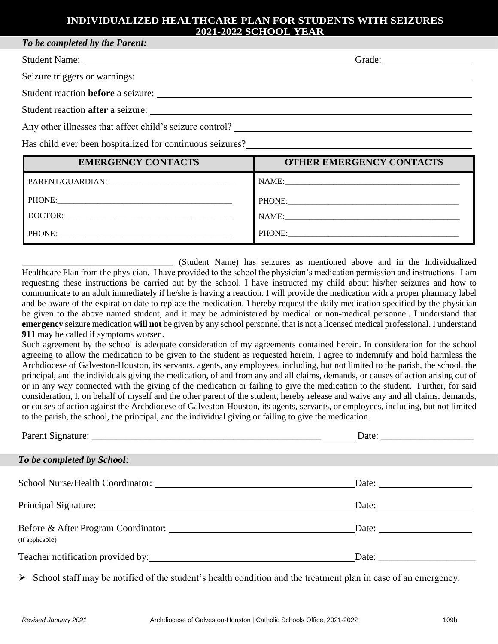### **INDIVIDUALIZED HEALTHCARE PLAN FOR STUDENTS WITH SEIZURES 2021-2022 SCHOOL YEAR**

| To be completed by the I divine.                         |        |
|----------------------------------------------------------|--------|
|                                                          | Grade: |
|                                                          |        |
| Student reaction <b>before</b> a seizure:                |        |
| Student reaction after a seizure:                        |        |
| Any other illnesses that affect child's seizure control? |        |

Has child ever been hospitalized for continuous seizures?

*To be completed by the Parent:*

| <b>EMERGENCY CONTACTS</b> | <b>OTHER EMERGENCY CONTACTS</b> |
|---------------------------|---------------------------------|
|                           |                                 |
|                           |                                 |
| DOCTOR:                   | NAME:                           |
| <b>PHONE:</b>             | PHONE:                          |

\_\_\_\_\_\_\_\_\_\_\_\_\_\_\_\_\_\_\_\_\_\_\_\_\_\_\_\_\_\_\_ (Student Name) has seizures as mentioned above and in the Individualized Healthcare Plan from the physician. I have provided to the school the physician's medication permission and instructions. I am requesting these instructions be carried out by the school. I have instructed my child about his/her seizures and how to communicate to an adult immediately if he/she is having a reaction. I will provide the medication with a proper pharmacy label and be aware of the expiration date to replace the medication. I hereby request the daily medication specified by the physician be given to the above named student, and it may be administered by medical or non-medical personnel. I understand that **emergency** seizure medication **will not** be given by any school personnel that is not a licensed medical professional. I understand **911** may be called if symptoms worsen.

Such agreement by the school is adequate consideration of my agreements contained herein. In consideration for the school agreeing to allow the medication to be given to the student as requested herein, I agree to indemnify and hold harmless the Archdiocese of Galveston-Houston, its servants, agents, any employees, including, but not limited to the parish, the school, the principal, and the individuals giving the medication, of and from any and all claims, demands, or causes of action arising out of or in any way connected with the giving of the medication or failing to give the medication to the student. Further, for said consideration, I, on behalf of myself and the other parent of the student, hereby release and waive any and all claims, demands, or causes of action against the Archdiocese of Galveston-Houston, its agents, servants, or employees, including, but not limited to the parish, the school, the principal, and the individual giving or failing to give the medication.

|                                                                                                                                                                                                                                | Date: $\frac{1}{\sqrt{1-\frac{1}{2}} \cdot \frac{1}{2}}$ |  |
|--------------------------------------------------------------------------------------------------------------------------------------------------------------------------------------------------------------------------------|----------------------------------------------------------|--|
| To be completed by School:                                                                                                                                                                                                     |                                                          |  |
|                                                                                                                                                                                                                                | Date: $\frac{1}{\sqrt{1-\frac{1}{2}} \cdot \frac{1}{2}}$ |  |
| Principal Signature: New York Changes and School and School and School and School and School and School and School and School and School and School and School and School and School and School and School and School and Scho | Date:                                                    |  |
| (If applicable)                                                                                                                                                                                                                | Date: $\frac{1}{\sqrt{1-\frac{1}{2}} \cdot \frac{1}{2}}$ |  |
| Teacher notification provided by:                                                                                                                                                                                              |                                                          |  |

 $\triangleright$  School staff may be notified of the student's health condition and the treatment plan in case of an emergency.